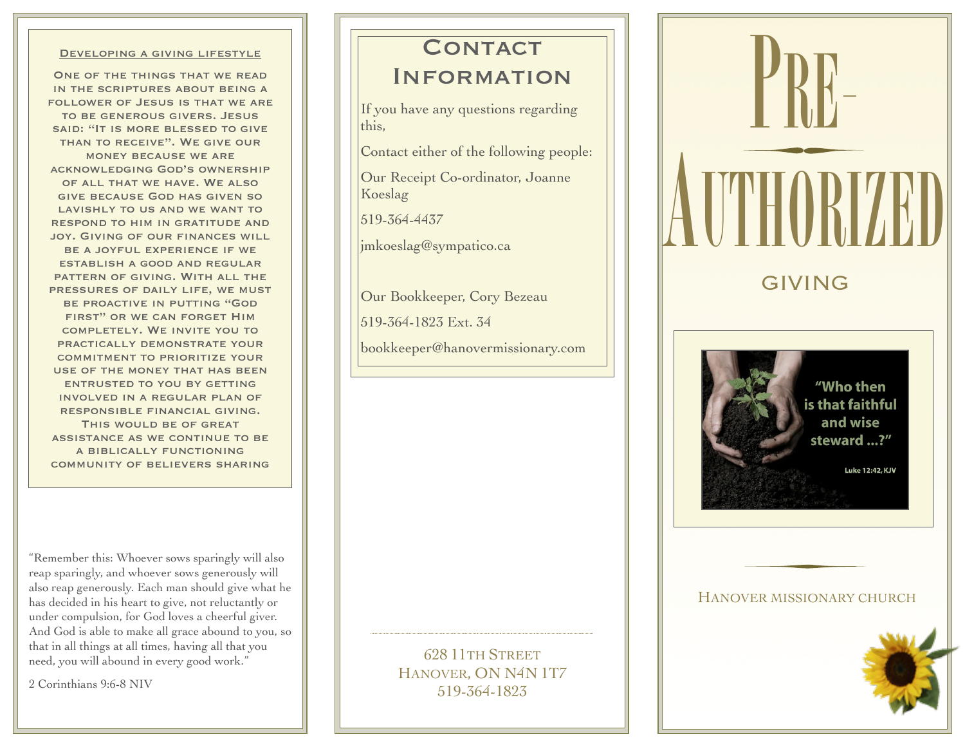#### Developing a giving lifestyle

ONE OF THE THINGS THAT WE READ in the scriptures about being a follower of Jesus is that we are to be generous givers. Jesus said: "It is more blessed to give than to receive". We give our money because we are acknowledging God's ownership of all that we have. We also give because God has given so LAVISHLY TO US AND WE WANT TO respond to him in gratitude and joy. Giving of our finances will be a joyful experience if we establish a good and regular pattern of giving. With all the pressures of daily life, we must be proactive in putting "God first" or we can forget Him completely. We invite you to practically demonstrate your commitment to prioritize your use of the money that has been entrusted to you by getting involved in a regular plan of responsible financial giving. THIS WOULD BE OF GREAT assistance as we continue to be a biblically functioning community of believers sharing

"Remember this: Whoever sows sparingly will also reap sparingly, and whoever sows generously will also reap generously. Each man should give what he has decided in his heart to give, not reluctantly or under compulsion, for God loves a cheerful giver. And God is able to make all grace abound to you, so that in all things at all times, having all that you need, you will abound in every good work."

2 Corinthians 9:6-8 NIV

# CONTACT

## **INFORMATION**

If you have any questions regarding this,

Contact either of the following people:

Our Receipt Co-ordinator, Joanne Koeslag

519-364-4437

jmkoeslag@sympatico.ca

Our Bookkeeper, Cory Bezeau

519-364-1823 Ext. 34

[bookkeeper@hanovermissionary.com](mailto:bookkeeper@hanovermissionary.com)





### HANOVER MISSIONARY CHURCH



628 11TH STREET HANOVER, ON N4N 1T7 519-364-1823